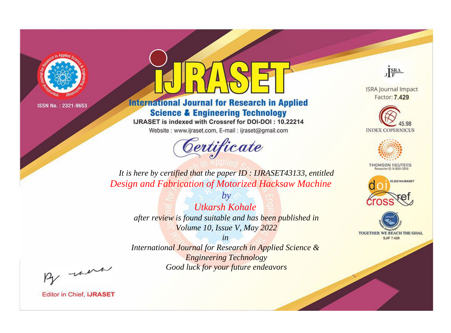

# **International Journal for Research in Applied Science & Engineering Technology**

IJRASET is indexed with Crossref for DOI-DOI: 10.22214

Website: www.ijraset.com, E-mail: ijraset@gmail.com



JERA

**ISRA Journal Impact** Factor: 7.429





**THOMSON REUTERS** 



TOGETHER WE REACH THE GOAL **SJIF 7.429** 

*It is here by certified that the paper ID : IJRASET43133, entitled Design and Fabrication of Motorized Hacksaw Machine*

> *by Utkarsh Kohale after review is found suitable and has been published in Volume 10, Issue V, May 2022*

> > *in*

*International Journal for Research in Applied Science & Engineering Technology Good luck for your future endeavors*

By morn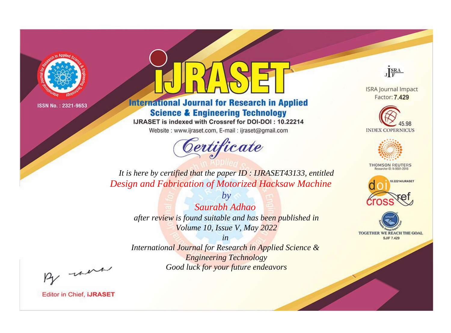

# **International Journal for Research in Applied Science & Engineering Technology**

IJRASET is indexed with Crossref for DOI-DOI: 10.22214

Website: www.ijraset.com, E-mail: ijraset@gmail.com



JERA

**ISRA Journal Impact** Factor: 7.429





**THOMSON REUTERS** 



TOGETHER WE REACH THE GOAL **SJIF 7.429** 

*It is here by certified that the paper ID : IJRASET43133, entitled Design and Fabrication of Motorized Hacksaw Machine*

*by Saurabh Adhao after review is found suitable and has been published in Volume 10, Issue V, May 2022*

*in* 

*International Journal for Research in Applied Science & Engineering Technology Good luck for your future endeavors*

By morn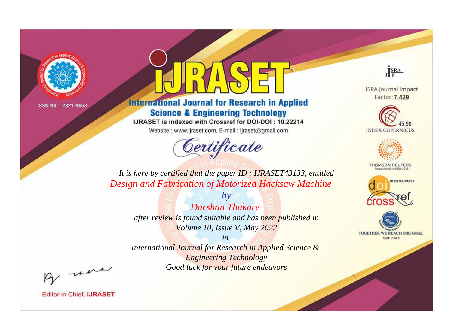

# **International Journal for Research in Applied Science & Engineering Technology**

IJRASET is indexed with Crossref for DOI-DOI: 10.22214

Website: www.ijraset.com, E-mail: ijraset@gmail.com



JERA

**ISRA Journal Impact** Factor: 7.429





**THOMSON REUTERS** 



TOGETHER WE REACH THE GOAL **SJIF 7.429** 

*It is here by certified that the paper ID : IJRASET43133, entitled Design and Fabrication of Motorized Hacksaw Machine*

> *Darshan Thakare after review is found suitable and has been published in Volume 10, Issue V, May 2022*

*by*

*in* 

*International Journal for Research in Applied Science & Engineering Technology Good luck for your future endeavors*

By morn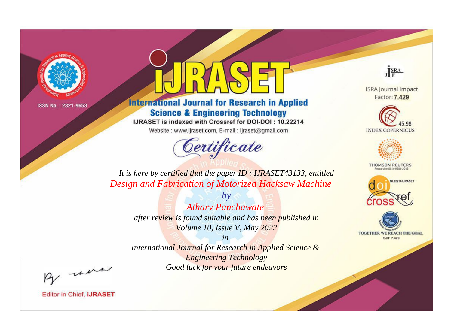

# **International Journal for Research in Applied Science & Engineering Technology**

IJRASET is indexed with Crossref for DOI-DOI: 10.22214

Website: www.ijraset.com, E-mail: ijraset@gmail.com



JERA

**ISRA Journal Impact** Factor: 7.429





**THOMSON REUTERS** 



TOGETHER WE REACH THE GOAL **SJIF 7.429** 

*It is here by certified that the paper ID : IJRASET43133, entitled Design and Fabrication of Motorized Hacksaw Machine*

*by Atharv Panchawate after review is found suitable and has been published in Volume 10, Issue V, May 2022*

*in* 

*International Journal for Research in Applied Science & Engineering Technology Good luck for your future endeavors*

By morn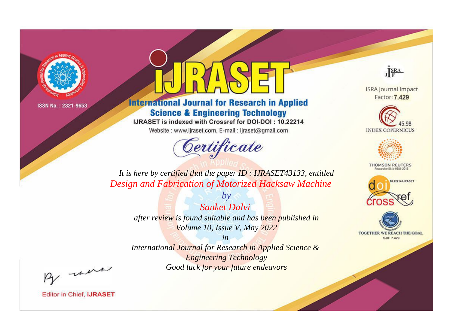

# **International Journal for Research in Applied Science & Engineering Technology**

IJRASET is indexed with Crossref for DOI-DOI: 10.22214

Website: www.ijraset.com, E-mail: ijraset@gmail.com



JERA

**ISRA Journal Impact** Factor: 7.429





**THOMSON REUTERS** 



TOGETHER WE REACH THE GOAL **SJIF 7.429** 

*It is here by certified that the paper ID : IJRASET43133, entitled Design and Fabrication of Motorized Hacksaw Machine*

*Sanket Dalvi after review is found suitable and has been published in Volume 10, Issue V, May 2022*

*by*

*in* 

*International Journal for Research in Applied Science & Engineering Technology Good luck for your future endeavors*

By morn